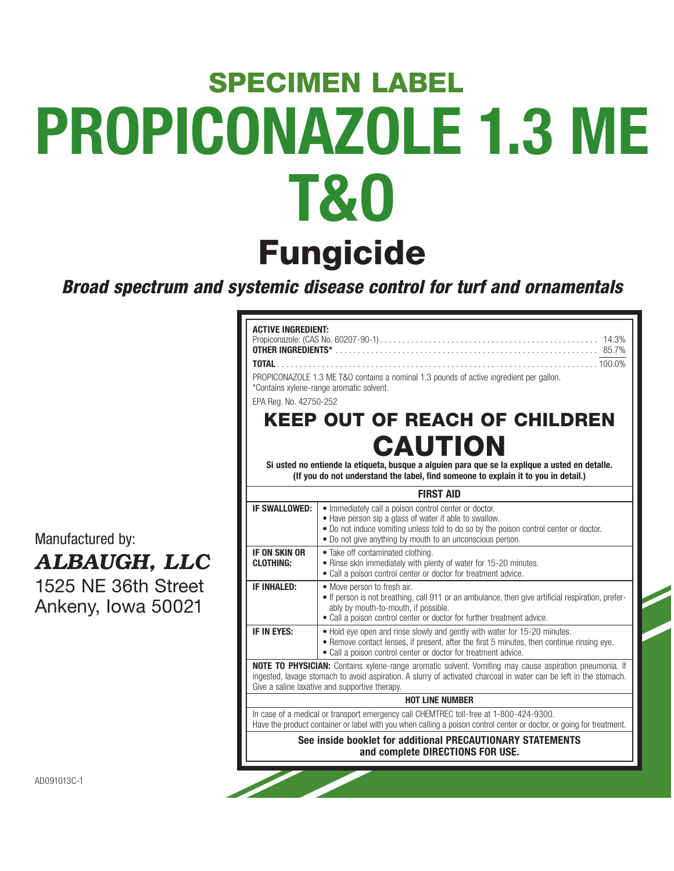# **PROPICONAZOLE 1.3 ME T&O Fungicide SPECIMEN LABEL**

**Broad spectrum and systemic disease control for turf and ornamentals**

**ACTIVE INGREDIENT:**

**OTHER INGREDIENTS\*** 

EPA Reg. No. 42750-252

\*Contains xylene-range aromatic solvent.

Manufactured by:

# *ALBAUGH, LLC*

1525 NE 36th Street Ankeny, Iowa 50021

| <b>CAUTION</b>                                                                                                                                                                                                                                                                       |                                                                                                                                                                                                                                                                       |  |  |  |  |
|--------------------------------------------------------------------------------------------------------------------------------------------------------------------------------------------------------------------------------------------------------------------------------------|-----------------------------------------------------------------------------------------------------------------------------------------------------------------------------------------------------------------------------------------------------------------------|--|--|--|--|
|                                                                                                                                                                                                                                                                                      | Si usted no entiende la etiqueta, busque a alguien para que se la explique a usted en detalle.<br>(If you do not understand the label, find someone to explain it to you in detail.)                                                                                  |  |  |  |  |
|                                                                                                                                                                                                                                                                                      | <b>FIRST AID</b>                                                                                                                                                                                                                                                      |  |  |  |  |
| <b>IF SWALLOWED:</b>                                                                                                                                                                                                                                                                 | • Immediately call a poison control center or doctor.<br>• Have person sip a glass of water if able to swallow.<br>• Do not induce vomiting unless told to do so by the poison control center or doctor.<br>• Do not give anything by mouth to an unconscious person. |  |  |  |  |
| IF ON SKIN OR<br><b>CLOTHING:</b>                                                                                                                                                                                                                                                    | • Take off contaminated clothing.<br>. Rinse skin immediately with plenty of water for 15-20 minutes.<br>• Call a poison control center or doctor for treatment advice.                                                                                               |  |  |  |  |
| <b>IF INHALED:</b><br>• Move person to fresh air.<br>• If person is not breathing, call 911 or an ambulance, then give artificial respiration, prefer-<br>ably by mouth-to-mouth, if possible.<br>• Call a poison control center or doctor for further treatment advice.             |                                                                                                                                                                                                                                                                       |  |  |  |  |
| IF IN EYES:<br>• Hold eye open and rinse slowly and gently with water for 15-20 minutes.<br>• Remove contact lenses, if present, after the first 5 minutes, then continue rinsing eye.<br>• Call a poison control center or doctor for treatment advice.                             |                                                                                                                                                                                                                                                                       |  |  |  |  |
| <b>NOTE TO PHYSICIAN:</b> Contains xylene-range aromatic solvent. Vomiting may cause aspiration pneumonia. If<br>ingested, lavage stomach to avoid aspiration. A slurry of activated charcoal in water can be left in the stomach.<br>Give a saline laxative and supportive therapy. |                                                                                                                                                                                                                                                                       |  |  |  |  |
| <b>HOT LINE NUMBER</b>                                                                                                                                                                                                                                                               |                                                                                                                                                                                                                                                                       |  |  |  |  |
| In case of a medical or transport emergency call CHEMTREC toll-free at 1-800-424-9300.<br>Have the product container or label with you when calling a poison control center or doctor, or going for treatment.                                                                       |                                                                                                                                                                                                                                                                       |  |  |  |  |
| See inside booklet for additional PRECAUTIONARY STATEMENTS<br>and complete DIRECTIONS FOR USE.                                                                                                                                                                                       |                                                                                                                                                                                                                                                                       |  |  |  |  |
|                                                                                                                                                                                                                                                                                      |                                                                                                                                                                                                                                                                       |  |  |  |  |

Propiconazole: (CAS No. 60207-90-1) . . . . . . . . . . . . . . . . . . . . . . . . . . . . . . . . . . . . . . . . . . . . . . . . . 14.3%

**TOTAL** . . . . . . . . . . . . . . . . . . . . . . . . . . . . . . . . . . . . . . . . . . . . . . . . . . . . . . . . . . . . . . . . . . . . . . . . 100.0%

**KEEP OUT OF REACH OF CHILDREN**

PROPICONAZOLE 1.3 ME T&O contains a nominal 1.3 pounds of active ingredient per gallon.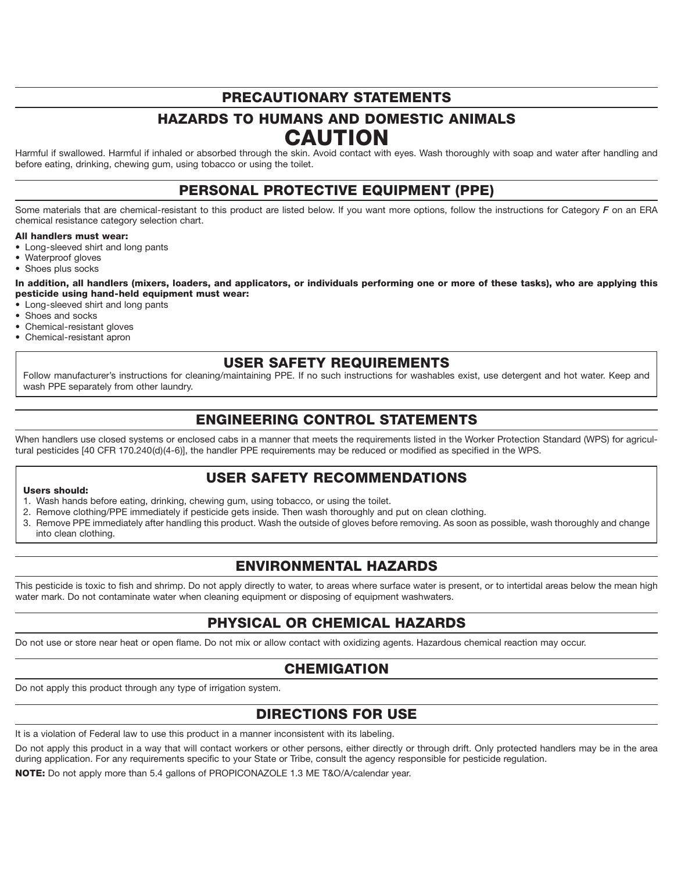# **PRECAUTIONARY STATEMENTS**

# **HAZARDS TO HUMANS AND DOMESTIC ANIMALS CAUTION**

Harmful if swallowed. Harmful if inhaled or absorbed through the skin. Avoid contact with eyes. Wash thoroughly with soap and water after handling and before eating, drinking, chewing gum, using tobacco or using the toilet.

### **PERSONAL PROTECTIVE EQUIPMENT (PPE)**

Some materials that are chemical-resistant to this product are listed below. If you want more options, follow the instructions for Category *F* on an ERA chemical resistance category selection chart.

#### **All handlers must wear:**

- Long-sleeved shirt and long pants
- Waterproof gloves
- Shoes plus socks

**In addition, all handlers (mixers, loaders, and applicators, or individuals performing one or more of these tasks), who are applying this pesticide using hand-held equipment must wear:**

- Long-sleeved shirt and long pants
- Shoes and socks
- Chemical-resistant gloves
- Chemical-resistant apron

### **USER SAFETY REQUIREMENTS**

Follow manufacturer's instructions for cleaning/maintaining PPE. If no such instructions for washables exist, use detergent and hot water. Keep and wash PPE separately from other laundry.

# **ENGINEERING CONTROL STATEMENTS**

When handlers use closed systems or enclosed cabs in a manner that meets the requirements listed in the Worker Protection Standard (WPS) for agricultural pesticides [40 CFR 170.240(d)(4-6)], the handler PPE requirements may be reduced or modified as specified in the WPS.

### **USER SAFETY RECOMMENDATIONS**

### **Users should:**

- 1. Wash hands before eating, drinking, chewing gum, using tobacco, or using the toilet.
- 2. Remove clothing/PPE immediately if pesticide gets inside. Then wash thoroughly and put on clean clothing.
- 3. Remove PPE immediately after handling this product. Wash the outside of gloves before removing. As soon as possible, wash thoroughly and change into clean clothing.

# **ENVIRONMENTAL HAZARDS**

This pesticide is toxic to fish and shrimp. Do not apply directly to water, to areas where surface water is present, or to intertidal areas below the mean high water mark. Do not contaminate water when cleaning equipment or disposing of equipment washwaters.

### **PHYSICAL OR CHEMICAL HAZARDS**

Do not use or store near heat or open flame. Do not mix or allow contact with oxidizing agents. Hazardous chemical reaction may occur.

### **CHEMIGATION**

Do not apply this product through any type of irrigation system.

# **DIRECTIONS FOR USE**

It is a violation of Federal law to use this product in a manner inconsistent with its labeling.

Do not apply this product in a way that will contact workers or other persons, either directly or through drift. Only protected handlers may be in the area during application. For any requirements specific to your State or Tribe, consult the agency responsible for pesticide regulation.

**NOTE:** Do not apply more than 5.4 gallons of PROPICONAZOLE 1.3 ME T&O/A/calendar year.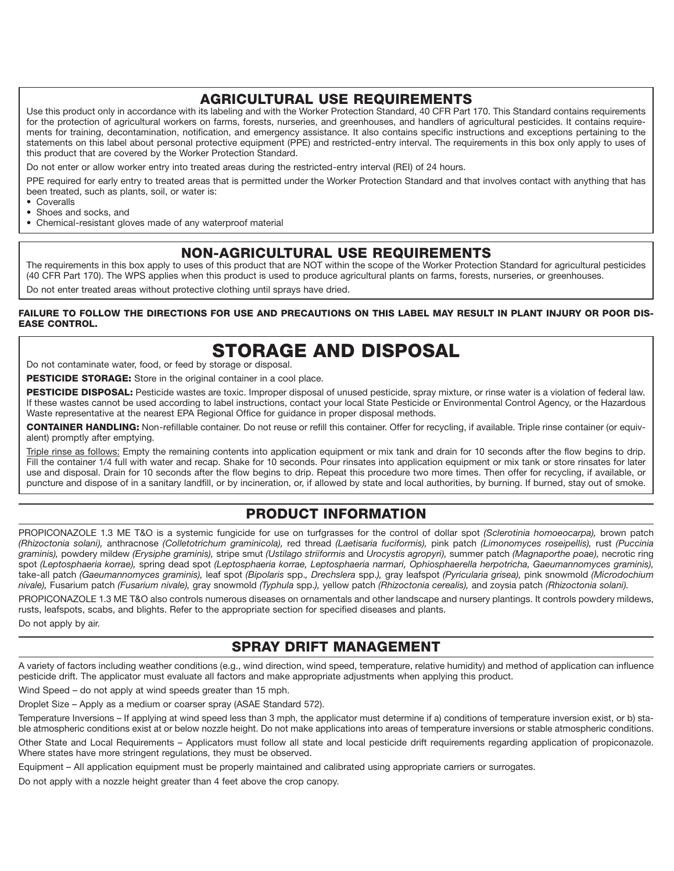### **AGRICULTURAL USE REQUIREMENTS**

Use this product only in accordance with its labeling and with the Worker Protection Standard, 40 CFR Part 170. This Standard contains requirements for the protection of agricultural workers on farms, forests, nurseries, and greenhouses, and handlers of agricultural pesticides. It contains requirements for training, decontamination, notification, and emergency assistance. It also contains specific instructions and exceptions pertaining to the statements on this label about personal protective equipment (PPE) and restricted-entry interval. The requirements in this box only apply to uses of this product that are covered by the Worker Protection Standard.

Do not enter or allow worker entry into treated areas during the restricted-entry interval (REI) of 24 hours.

PPE required for early entry to treated areas that is permitted under the Worker Protection Standard and that involves contact with anything that has been treated, such as plants, soil, or water is:

- Coveralls<br>• Shoes an
- Shoes and socks, and
- Chemical-resistant gloves made of any waterproof material

# **NON-AGRICULTURAL USE REQUIREMENTS**

The requirements in this box apply to uses of this product that are NOT within the scope of the Worker Protection Standard for agricultural pesticides (40 CFR Part 170). The WPS applies when this product is used to produce agricultural plants on farms, forests, nurseries, or greenhouses. Do not enter treated areas without protective clothing until sprays have dried.

### **FAILURE TO FOLLOW THE DIRECTIONS FOR USE AND PRECAUTIONS ON THIS LABEL MAY RESULT IN PLANT INJURY OR POOR DIS-EASE CONTROL.**

# **STORAGE AND DISPOSAL**

Do not contaminate water, food, or feed by storage or disposal.

**PESTICIDE STORAGE:** Store in the original container in a cool place.

**PESTICIDE DISPOSAL:** Pesticide wastes are toxic. Improper disposal of unused pesticide, spray mixture, or rinse water is a violation of federal law. If these wastes cannot be used according to label instructions, contact your local State Pesticide or Environmental Control Agency, or the Hazardous Waste representative at the nearest EPA Regional Office for guidance in proper disposal methods.

**CONTAINER HANDLING:** Non-refillable container. Do not reuse or refill this container. Offer for recycling, if available. Triple rinse container (or equivalent) promptly after emptying.

Triple rinse as follows: Empty the remaining contents into application equipment or mix tank and drain for 10 seconds after the flow begins to drip. Fill the container 1/4 full with water and recap. Shake for 10 seconds. Pour rinsates into application equipment or mix tank or store rinsates for later use and disposal. Drain for 10 seconds after the flow begins to drip. Repeat this procedure two more times. Then offer for recycling, if available, or puncture and dispose of in a sanitary landfill, or by incineration, or, if allowed by state and local authorities, by burning. If burned, stay out of smoke.

### **PRODUCT INFORMATION**

PROPICONAZOLE 1.3 ME T&O is a systemic fungicide for use on turfgrasses for the control of dollar spot *(Sclerotinia homoeocarpa),* brown patch *(Rhizoctonia solani),* anthracnose *(Colletotrichum graminicola),* red thread *(Laetisaria fuciformis),* pink patch *(Limonomyces roseipellis),* rust *(Puccinia graminis),* powdery mildew *(Erysiphe graminis),* stripe smut *(Ustilago striiformis* and *Urocystis agropyri),* summer patch *(Magnaporthe poae),* necrotic ring spot *(Leptosphaeria korrae),* spring dead spot *(Leptosphaeria korrae, Leptosphaeria narmari, Ophiosphaerella herpotricha, Gaeumannomyces graminis),* take-all patch *(Gaeumannomyces graminis),* leaf spot *(Bipolaris* spp.*, Drechslera* spp.*),* gray leafspot *(Pyricularia grisea),* pink snowmold *(Microdochium nivale),* Fusarium patch *(Fusarium nivale),* gray snowmold *(Typhula* spp.*),* yellow patch *(Rhizoctonia cerealis),* and zoysia patch *(Rhizoctonia solani).*

PROPICONAZOLE 1.3 ME T&O also controls numerous diseases on ornamentals and other landscape and nursery plantings. It controls powdery mildews, rusts, leafspots, scabs, and blights. Refer to the appropriate section for specified diseases and plants.

Do not apply by air.

### **SPRAY DRIFT MANAGEMENT**

A variety of factors including weather conditions (e.g., wind direction, wind speed, temperature, relative humidity) and method of application can influence pesticide drift. The applicator must evaluate all factors and make appropriate adjustments when applying this product.

Wind Speed – do not apply at wind speeds greater than 15 mph.

Droplet Size – Apply as a medium or coarser spray (ASAE Standard 572).

Temperature Inversions – If applying at wind speed less than 3 mph, the applicator must determine if a) conditions of temperature inversion exist, or b) stable atmospheric conditions exist at or below nozzle height. Do not make applications into areas of temperature inversions or stable atmospheric conditions. Other State and Local Requirements – Applicators must follow all state and local pesticide drift requirements regarding application of propiconazole. Where states have more stringent regulations, they must be observed.

Equipment – All application equipment must be properly maintained and calibrated using appropriate carriers or surrogates.

Do not apply with a nozzle height greater than 4 feet above the crop canopy.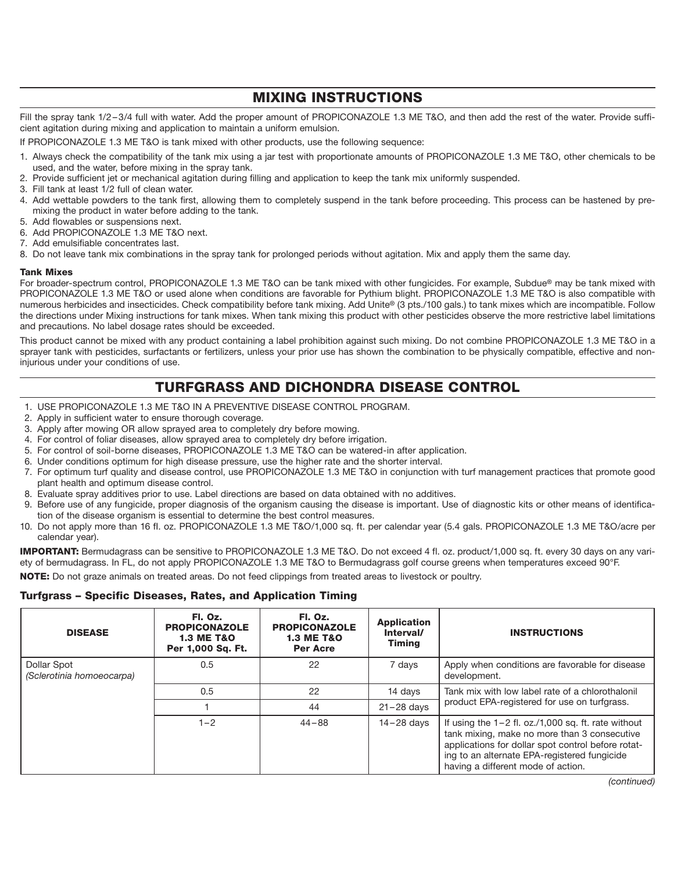### **MIXING INSTRUCTIONS**

Fill the spray tank 1/2-3/4 full with water. Add the proper amount of PROPICONAZOLE 1.3 ME T&O, and then add the rest of the water. Provide sufficient agitation during mixing and application to maintain a uniform emulsion.

If PROPICONAZOLE 1.3 ME T&O is tank mixed with other products, use the following sequence:

- 1. Always check the compatibility of the tank mix using a jar test with proportionate amounts of PROPICONAZOLE 1.3 ME T&O, other chemicals to be used, and the water, before mixing in the spray tank.
- 2. Provide sufficient jet or mechanical agitation during filling and application to keep the tank mix uniformly suspended.
- 3. Fill tank at least 1/2 full of clean water.
- 4. Add wettable powders to the tank first, allowing them to completely suspend in the tank before proceeding. This process can be hastened by premixing the product in water before adding to the tank.
- 5. Add flowables or suspensions next.
- 6. Add PROPICONAZOLE 1.3 ME T&O next.
- 7. Add emulsifiable concentrates last.
- 8. Do not leave tank mix combinations in the spray tank for prolonged periods without agitation. Mix and apply them the same day.

#### **Tank Mixes**

For broader-spectrum control, PROPICONAZOLE 1.3 ME T&O can be tank mixed with other fungicides. For example, Subdue**®** may be tank mixed with PROPICONAZOLE 1.3 ME T&O or used alone when conditions are favorable for Pythium blight. PROPICONAZOLE 1.3 ME T&O is also compatible with numerous herbicides and insecticides. Check compatibility before tank mixing. Add Unite**®** (3 pts./100 gals.) to tank mixes which are incompatible. Follow the directions under Mixing instructions for tank mixes. When tank mixing this product with other pesticides observe the more restrictive label limitations and precautions. No label dosage rates should be exceeded.

This product cannot be mixed with any product containing a label prohibition against such mixing. Do not combine PROPICONAZOLE 1.3 ME T&O in a sprayer tank with pesticides, surfactants or fertilizers, unless your prior use has shown the combination to be physically compatible, effective and noninjurious under your conditions of use.

# **TURFGRASS AND DICHONDRA DISEASE CONTROL**

- 1. USE PROPICONAZOLE 1.3 ME T&O IN A PREVENTIVE DISEASE CONTROL PROGRAM.
- 2. Apply in sufficient water to ensure thorough coverage.
- 3. Apply after mowing OR allow sprayed area to completely dry before mowing.
- 4. For control of foliar diseases, allow sprayed area to completely dry before irrigation.
- 5. For control of soil-borne diseases, PROPICONAZOLE 1.3 ME T&O can be watered-in after application.
- 6. Under conditions optimum for high disease pressure, use the higher rate and the shorter interval.
- 7. For optimum turf quality and disease control, use PROPICONAZOLE 1.3 ME T&O in conjunction with turf management practices that promote good plant health and optimum disease control.
- 8. Evaluate spray additives prior to use. Label directions are based on data obtained with no additives.
- 9. Before use of any fungicide, proper diagnosis of the organism causing the disease is important. Use of diagnostic kits or other means of identification of the disease organism is essential to determine the best control measures.
- 10. Do not apply more than 16 fI. oz. PROPICONAZOLE 1.3 ME T&O/1,000 sq. ft. per calendar year (5.4 gals. PROPICONAZOLE 1.3 ME T&O/acre per calendar year).

**IMPORTANT:** Bermudagrass can be sensitive to PROPICONAZOLE 1.3 ME T&O. Do not exceed 4 fl. oz. product/1,000 sq. ft. every 30 days on any variety of bermudagrass. In FL, do not apply PROPICONAZOLE 1.3 ME T&O to Bermudagrass golf course greens when temperatures exceed 90°F.

**NOTE:** Do not graze animals on treated areas. Do not feed clippings from treated areas to livestock or poultry.

### **Turfgrass – Specific Diseases, Rates, and Application Timing**

| <b>DISEASE</b>                           | Fl. Oz.<br><b>PROPICONAZOLE</b><br><b>1.3 ME T&amp;O</b><br>Per 1,000 Sq. Ft. | Fl. Oz.<br><b>PROPICONAZOLE</b><br><b>1.3 ME T&amp;O</b><br><b>Per Acre</b> | <b>Application</b><br>Interval/<br><b>Timina</b> | <b>INSTRUCTIONS</b>                                                                                                                                                                                                                               |
|------------------------------------------|-------------------------------------------------------------------------------|-----------------------------------------------------------------------------|--------------------------------------------------|---------------------------------------------------------------------------------------------------------------------------------------------------------------------------------------------------------------------------------------------------|
| Dollar Spot<br>(Sclerotinia homoeocarpa) | 0.5                                                                           | 22                                                                          | 7 days                                           | Apply when conditions are favorable for disease<br>development.                                                                                                                                                                                   |
|                                          | 0.5                                                                           | 22                                                                          | 14 days                                          | Tank mix with low label rate of a chlorothalonil                                                                                                                                                                                                  |
|                                          |                                                                               | 44                                                                          | $21 - 28$ days                                   | product EPA-registered for use on turfgrass.                                                                                                                                                                                                      |
|                                          | $1 - 2$                                                                       | $44 - 88$                                                                   | $14 - 28$ davs                                   | If using the $1-2$ fl. oz./1,000 sq. ft. rate without<br>tank mixing, make no more than 3 consecutive<br>applications for dollar spot control before rotat-<br>ing to an alternate EPA-registered fungicide<br>having a different mode of action. |

*(continued)*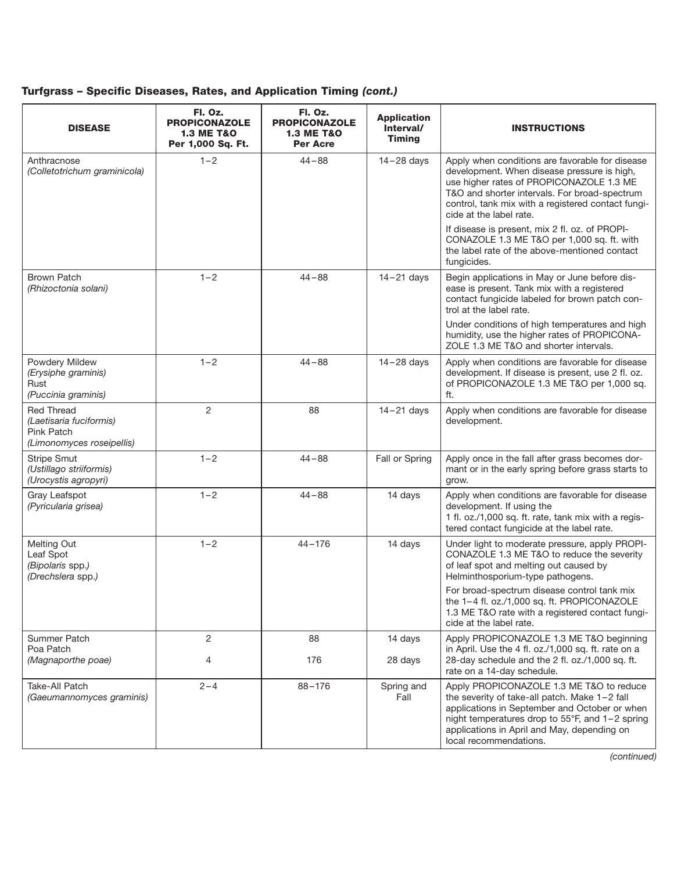### **Turfgrass – Specific Diseases, Rates, and Application Timing** *(cont.)*

| <b>DISEASE</b>                                                                          | Fl. Oz.<br><b>PROPICONAZOLE</b><br><b>1.3 ME T&amp;O</b><br>Per 1,000 Sq. Ft. | Fl. Oz.<br><b>PROPICONAZOLE</b><br><b>1.3 ME T&amp;O</b><br><b>Per Acre</b> | <b>Application</b><br>Interval/<br><b>Timing</b> | <b>INSTRUCTIONS</b>                                                                                                                                                                                                                                                          |
|-----------------------------------------------------------------------------------------|-------------------------------------------------------------------------------|-----------------------------------------------------------------------------|--------------------------------------------------|------------------------------------------------------------------------------------------------------------------------------------------------------------------------------------------------------------------------------------------------------------------------------|
| Anthracnose<br>(Colletotrichum graminicola)                                             | $1 - 2$                                                                       | $44 - 88$                                                                   | $14 - 28$ days                                   | Apply when conditions are favorable for disease<br>development. When disease pressure is high,<br>use higher rates of PROPICONAZOLE 1.3 ME<br>T&O and shorter intervals. For broad-spectrum<br>control, tank mix with a registered contact fungi-<br>cide at the label rate. |
|                                                                                         |                                                                               |                                                                             |                                                  | If disease is present, mix 2 fl. oz. of PROPI-<br>CONAZOLE 1.3 ME T&O per 1,000 sq. ft. with<br>the label rate of the above-mentioned contact<br>fungicides.                                                                                                                 |
| <b>Brown Patch</b><br>(Rhizoctonia solani)                                              | $1 - 2$                                                                       | $44 - 88$                                                                   | $14 - 21$ days                                   | Begin applications in May or June before dis-<br>ease is present. Tank mix with a registered<br>contact fungicide labeled for brown patch con-<br>trol at the label rate.                                                                                                    |
|                                                                                         |                                                                               |                                                                             |                                                  | Under conditions of high temperatures and high<br>humidity, use the higher rates of PROPICONA-<br>ZOLE 1.3 ME T&O and shorter intervals.                                                                                                                                     |
| Powdery Mildew<br>(Erysiphe graminis)<br>Rust<br>(Puccinia graminis)                    | $1 - 2$                                                                       | $44 - 88$                                                                   | $14 - 28$ days                                   | Apply when conditions are favorable for disease<br>development. If disease is present, use 2 fl. oz.<br>of PROPICONAZOLE 1.3 ME T&O per 1,000 sq.<br>ft.                                                                                                                     |
| <b>Red Thread</b><br>(Laetisaria fuciformis)<br>Pink Patch<br>(Limonomyces roseipellis) | 2                                                                             | 88                                                                          | $14 - 21$ days                                   | Apply when conditions are favorable for disease<br>development.                                                                                                                                                                                                              |
| <b>Stripe Smut</b><br>(Ustillago striiformis)<br>(Urocystis agropyri)                   | $1 - 2$                                                                       | $44 - 88$                                                                   | Fall or Spring                                   | Apply once in the fall after grass becomes dor-<br>mant or in the early spring before grass starts to<br>grow.                                                                                                                                                               |
| Gray Leafspot<br>(Pyricularia grisea)                                                   | $1 - 2$                                                                       | $44 - 88$                                                                   | 14 days                                          | Apply when conditions are favorable for disease<br>development. If using the<br>1 fl. oz./1,000 sq. ft. rate, tank mix with a regis-<br>tered contact fungicide at the label rate.                                                                                           |
| Melting Out<br>Leaf Spot<br>(Bipolaris spp.)<br>(Drechslera spp.)                       | $1 - 2$                                                                       | $44 - 176$                                                                  | 14 days                                          | Under light to moderate pressure, apply PROPI-<br>CONAZOLE 1.3 ME T&O to reduce the severity<br>of leaf spot and melting out caused by<br>Helminthosporium-type pathogens.                                                                                                   |
|                                                                                         |                                                                               |                                                                             |                                                  | For broad-spectrum disease control tank mix<br>the 1-4 fl. oz./1,000 sq. ft. PROPICONAZOLE<br>1.3 ME T&O rate with a registered contact fungi-<br>cide at the label rate.                                                                                                    |
| Summer Patch                                                                            | $\overline{2}$                                                                | 88                                                                          | 14 days                                          | Apply PROPICONAZOLE 1.3 ME T&O beginning                                                                                                                                                                                                                                     |
| Poa Patch<br>(Magnaporthe poae)                                                         | 4                                                                             | 176                                                                         | 28 days                                          | in April. Use the 4 fl. oz./1,000 sq. ft. rate on a<br>28-day schedule and the 2 fl. oz./1,000 sq. ft.<br>rate on a 14-day schedule.                                                                                                                                         |
| Take-All Patch<br>(Gaeumannomyces graminis)                                             | $2 - 4$                                                                       | $88 - 176$                                                                  | Spring and<br>Fall                               | Apply PROPICONAZOLE 1.3 ME T&O to reduce<br>the severity of take-all patch. Make 1-2 fall<br>applications in September and October or when<br>night temperatures drop to 55°F, and 1-2 spring<br>applications in April and May, depending on<br>local recommendations.       |

*(continued)*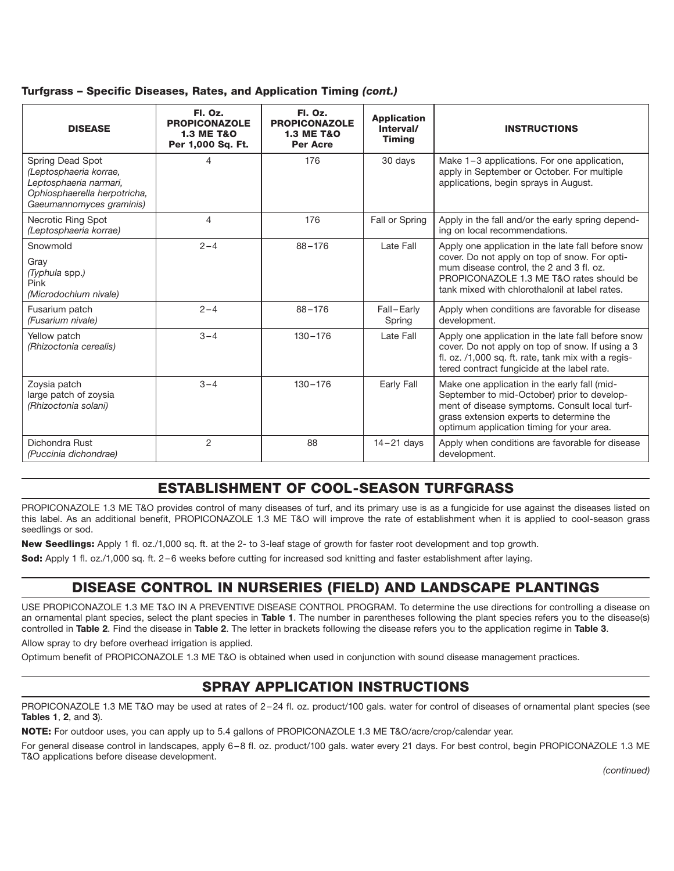| Turfgrass - Specific Diseases, Rates, and Application Timing (cont.) |  |  |  |  |  |  |  |  |
|----------------------------------------------------------------------|--|--|--|--|--|--|--|--|
|----------------------------------------------------------------------|--|--|--|--|--|--|--|--|

| <b>DISEASE</b>                                                                                                                   | Fl. Oz.<br><b>PROPICONAZOLE</b><br><b>1.3 ME T&amp;O</b><br>Per 1,000 Sq. Ft. | Fl. Oz.<br><b>PROPICONAZOLE</b><br><b>1.3 ME T&amp;O</b><br><b>Per Acre</b> | <b>Application</b><br>Interval/<br><b>Timing</b> | <b>INSTRUCTIONS</b>                                                                                                                                                                                                                           |
|----------------------------------------------------------------------------------------------------------------------------------|-------------------------------------------------------------------------------|-----------------------------------------------------------------------------|--------------------------------------------------|-----------------------------------------------------------------------------------------------------------------------------------------------------------------------------------------------------------------------------------------------|
| Spring Dead Spot<br>(Leptosphaeria korrae,<br>Leptosphaeria narmari,<br>Ophiosphaerella herpotricha,<br>Gaeumannomyces graminis) | 4                                                                             | 176                                                                         | 30 days                                          | Make 1-3 applications. For one application,<br>apply in September or October. For multiple<br>applications, begin sprays in August.                                                                                                           |
| Necrotic Ring Spot<br>(Leptosphaeria korrae)                                                                                     | 4                                                                             | 176                                                                         | Fall or Spring                                   | Apply in the fall and/or the early spring depend-<br>ing on local recommendations.                                                                                                                                                            |
| Snowmold<br>Gray<br>(Typhula spp.)<br>Pink<br>(Microdochium nivale)                                                              | $2 - 4$                                                                       | $88 - 176$                                                                  | Late Fall                                        | Apply one application in the late fall before snow<br>cover. Do not apply on top of snow. For opti-<br>mum disease control, the 2 and 3 fl. oz.<br>PROPICONAZOLE 1.3 ME T&O rates should be<br>tank mixed with chlorothalonil at label rates. |
| Fusarium patch<br>(Fusarium nivale)                                                                                              | $2 - 4$                                                                       | $88 - 176$                                                                  | Fall-Early<br>Spring                             | Apply when conditions are favorable for disease<br>development.                                                                                                                                                                               |
| Yellow patch<br>(Rhizoctonia cerealis)                                                                                           | $3 - 4$                                                                       | $130 - 176$                                                                 | Late Fall                                        | Apply one application in the late fall before snow<br>cover. Do not apply on top of snow. If using a 3<br>fl. oz. /1,000 sq. ft. rate, tank mix with a regis-<br>tered contract fungicide at the label rate.                                  |
| Zoysia patch<br>large patch of zoysia<br>(Rhizoctonia solani)                                                                    | $3 - 4$                                                                       | $130 - 176$                                                                 | Early Fall                                       | Make one application in the early fall (mid-<br>September to mid-October) prior to develop-<br>ment of disease symptoms. Consult local turf-<br>grass extension experts to determine the<br>optimum application timing for your area.         |
| Dichondra Rust<br>(Puccinia dichondrae)                                                                                          | $\overline{2}$                                                                | 88                                                                          | $14 - 21$ days                                   | Apply when conditions are favorable for disease<br>development.                                                                                                                                                                               |

# **ESTABLISHMENT OF COOL-SEASON TURFGRASS**

PROPICONAZOLE 1.3 ME T&O provides control of many diseases of turf, and its primary use is as a fungicide for use against the diseases listed on this label. As an additional benefit, PROPICONAZOLE 1.3 ME T&O will improve the rate of establishment when it is applied to cool-season grass seedlings or sod.

**New Seedlings:** Apply 1 fl. oz./1,000 sq. ft. at the 2- to 3-leaf stage of growth for faster root development and top growth.

**Sod:** Apply 1 fl. oz./1,000 sq. ft. 2 – 6 weeks before cutting for increased sod knitting and faster establishment after laying.

### **DISEASE CONTROL IN NURSERIES (FIELD) AND LANDSCAPE PLANTINGS**

USE PROPICONAZOLE 1.3 ME T&O IN A PREVENTIVE DISEASE CONTROL PROGRAM. To determine the use directions for controlling a disease on an ornamental plant species, select the plant species in **Table 1**. The number in parentheses following the plant species refers you to the disease(s) controlled in **Table 2**. Find the disease in **Table 2**. The letter in brackets following the disease refers you to the application regime in **Table 3**.

Allow spray to dry before overhead irrigation is applied.

Optimum benefit of PROPICONAZOLE 1.3 ME T&O is obtained when used in conjunction with sound disease management practices.

### **SPRAY APPLICATION INSTRUCTIONS**

PROPICONAZOLE 1.3 ME T&O may be used at rates of 2-24 fl. oz. product/100 gals. water for control of diseases of ornamental plant species (see **Tables 1**, **2**, and **3**).

**NOTE:** For outdoor uses, you can apply up to 5.4 gallons of PROPICONAZOLE 1.3 ME T&O/acre/crop/calendar year.

For general disease control in landscapes, apply 6 – 8 fl. oz. product/100 gals. water every 21 days. For best control, begin PROPICONAZOLE 1.3 ME T&O applications before disease development.

*(continued)*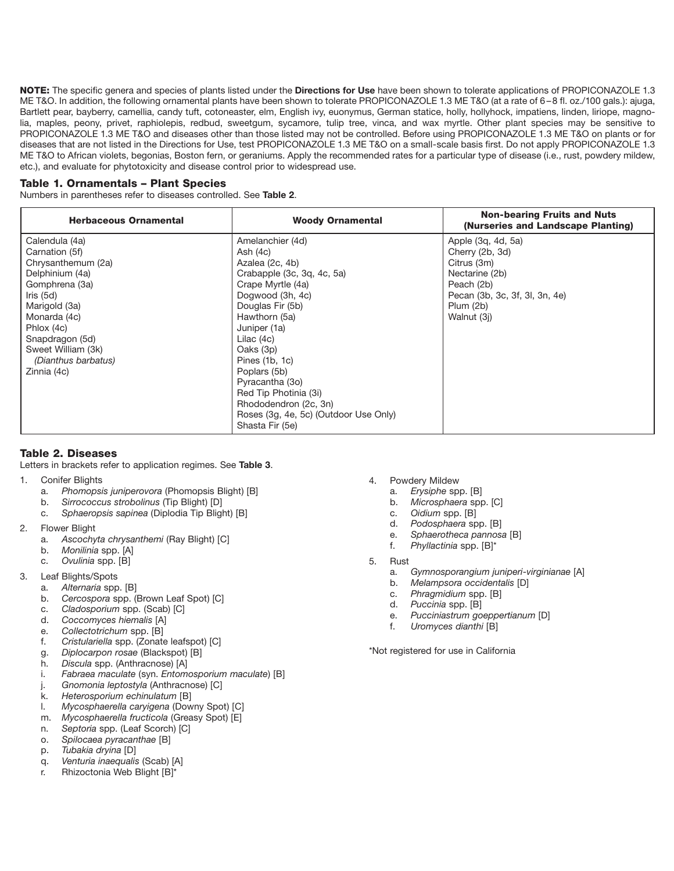**NOTE:** The specific genera and species of plants listed under the **Directions for Use** have been shown to tolerate applications of PROPICONAZOLE 1.3 ME T&O. In addition, the following ornamental plants have been shown to tolerate PROPICONAZOLE 1.3 ME T&O (at a rate of 6 – 8 fl. oz./100 gals.): ajuga, Bartlett pear, bayberry, camellia, candy tuft, cotoneaster, elm, English ivy, euonymus, German statice, holly, hollyhock, impatiens, linden, liriope, magnolia, maples, peony, privet, raphiolepis, redbud, sweetgum, sycamore, tulip tree, vinca, and wax myrtle. Other plant species may be sensitive to PROPICONAZOLE 1.3 ME T&O and diseases other than those listed may not be controlled. Before using PROPICONAZOLE 1.3 ME T&O on plants or for diseases that are not listed in the Directions for Use, test PROPICONAZOLE 1.3 ME T&O on a small-scale basis first. Do not apply PROPICONAZOLE 1.3 ME T&O to African violets, begonias, Boston fern, or geraniums. Apply the recommended rates for a particular type of disease (i.e., rust, powdery mildew, etc.), and evaluate for phytotoxicity and disease control prior to widespread use.

### **Table 1. Ornamentals – Plant Species**

Numbers in parentheses refer to diseases controlled. See **Table 2**.

| <b>Herbaceous Ornamental</b> | <b>Woody Ornamental</b>               | <b>Non-bearing Fruits and Nuts</b><br>(Nurseries and Landscape Planting) |
|------------------------------|---------------------------------------|--------------------------------------------------------------------------|
| Calendula (4a)               | Amelanchier (4d)                      | Apple (3q, 4d, 5a)                                                       |
| Carnation (5f)               | Ash $(4c)$                            | Cherry (2b, 3d)                                                          |
| Chrysanthemum (2a)           | Azalea (2c, 4b)                       | Citrus (3m)                                                              |
| Delphinium (4a)              | Crabapple (3c, 3q, 4c, 5a)            | Nectarine (2b)                                                           |
| Gomphrena (3a)               | Crape Myrtle (4a)                     | Peach (2b)                                                               |
| Iris $(5d)$                  | Dogwood (3h, 4c)                      | Pecan (3b, 3c, 3f, 3l, 3n, 4e)                                           |
| Marigold (3a)                | Douglas Fir (5b)                      | Plum(2b)                                                                 |
| Monarda (4c)                 | Hawthorn (5a)                         | Walnut (3i)                                                              |
| Phlox (4c)                   | Juniper (1a)                          |                                                                          |
| Snapdragon (5d)              | Lilac (4c)                            |                                                                          |
| Sweet William (3k)           | Oaks (3p)                             |                                                                          |
| (Dianthus barbatus)          | Pines (1b, 1c)                        |                                                                          |
| Zinnia (4c)                  | Poplars (5b)                          |                                                                          |
|                              | Pyracantha (3o)                       |                                                                          |
|                              | Red Tip Photinia (3i)                 |                                                                          |
|                              | Rhododendron (2c, 3n)                 |                                                                          |
|                              | Roses (3g, 4e, 5c) (Outdoor Use Only) |                                                                          |
|                              | Shasta Fir (5e)                       |                                                                          |

### **Table 2. Diseases**

Letters in brackets refer to application regimes. See **Table 3**.

- 1. Conifer Blights
	- a. *Phomopsis juniperovora* (Phomopsis Blight) [B]
	- b. *Sirrococcus strobolinus* (Tip Blight) [D]
	- c. *Sphaeropsis sapinea* (Diplodia Tip Blight) [B]
- 2. Flower Blight
	- a. *Ascochyta chrysanthemi* (Ray Blight) [C]
	- b. *Monilinia* spp. [A]
	- c. *Ovulinia* spp. [B]
- 3. Leaf Blights/Spots
	- a. *Alternaria* spp. [B]
	- b. *Cercospora* spp. (Brown Leaf Spot) [C]
	- c. *Cladosporium* spp. (Scab) [C]
	- d. *Coccomyces hiemalis* [A]
	- e. *Collectotrichum* spp. [B]
	- f. *Cristulariella* spp. (Zonate leafspot) [C]
	- g. *Diplocarpon rosae* (Blackspot) [B]
	- h. *Discula* spp. (Anthracnose) [A]
	- i. *Fabraea maculate* (syn. *Entomosporium maculate*) [B]
	- j. *Gnomonia leptostyla* (Anthracnose) [C]
	- k. *Heterosporium echinulatum* [B]
	- l. *Mycosphaerella caryigena* (Downy Spot) [C]
	- m. *Mycosphaerella fructicola* (Greasy Spot) [E]
	- n. *Septoria* spp. (Leaf Scorch) [C] o. *Spilocaea pyracanthae* [B]
	-
	- p. *Tubakia dryina* [D]
	- q. *Venturia inaequalis* (Scab) [A] r. Rhizoctonia Web Blight [B]\*
- 4. Powdery Mildew
	- a. *Erysiphe* spp. [B]
	- b. *Microsphaera* spp. [C]
	- c. *Oidium* spp. [B]
	- d. *Podosphaera* spp. [B]
	- e. *Sphaerotheca pannosa* [B]
	- f. *Phyllactinia* spp. [B]\*
- 5. Rust
	- a. *Gymnosporangium juniperi-virginianae* [A]
	- b. *Melampsora occidentalis* [D]
	- c. *Phragmidium* spp. [B]
	- d. *Puccinia* spp. [B]
	- e. *Pucciniastrum goeppertianum* [D]
	- f. *Uromyces dianthi* [B]

\*Not registered for use in California